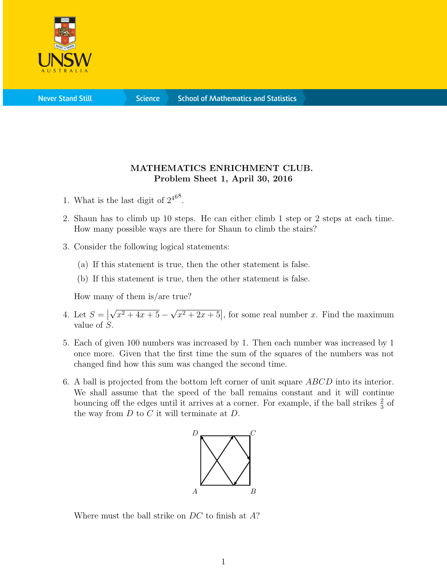

**Science** 

## MATHEMATICS ENRICHMENT CLUB. Problem Sheet 1, April 30, 2016

- 1. What is the last digit of  $2^{468}$ .
- 2. Shaun has to climb up 10 steps. He can either climb 1 step or 2 steps at each time. How many possible ways are there for Shaun to climb the stairs?
- 3. Consider the following logical statements:
	- (a) If this statement is true, then the other statement is false.
	- (b) If this statement is true, then the other statement is false.

How many of them is/are true?

- 4. Let  $S = \begin{bmatrix} 1 & 0 \\ 0 & 1 \end{bmatrix}$ √  $x^2 + 4x + 5 -$ √  $\sqrt{x^2+2x+5}$ , for some real number x. Find the maximum value of S.
- 5. Each of given 100 numbers was increased by 1. Then each number was increased by 1 once more. Given that the first time the sum of the squares of the numbers was not changed find how this sum was changed the second time.
- 6. A ball is projected from the bottom left corner of unit square ABCD into its interior. We shall assume that the speed of the ball remains constant and it will continue bouncing off the edges until it arrives at a corner. For example, if the ball strikes  $\frac{2}{3}$  of the way from  $D$  to  $C$  it will terminate at  $D$ .



Where must the ball strike on DC to finish at A?